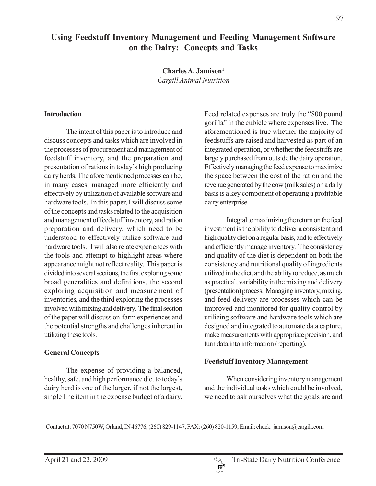# **Using Feedstuff Inventory Management and Feeding Management Software on the Dairy: Concepts and Tasks**

**Charles A. Jamison1**

*Cargill Animal Nutrition*

#### **Introduction**

The intent of this paper is to introduce and discuss concepts and tasks which are involved in the processes of procurement and management of feedstuff inventory, and the preparation and presentation of rations in today's high producing dairy herds. The aforementioned processes can be, in many cases, managed more efficiently and effectively by utilization of available software and hardware tools. In this paper, I will discuss some of the concepts and tasks related to the acquisition and management of feedstuff inventory, and ration preparation and delivery, which need to be understood to effectively utilize software and hardware tools. I will also relate experiences with the tools and attempt to highlight areas where appearance might not reflect reality. This paper is divided into several sections, the first exploring some broad generalities and definitions, the second exploring acquisition and measurement of inventories, and the third exploring the processes involved with mixing and delivery. The final section of the paper will discuss on-farm experiences and the potential strengths and challenges inherent in utilizing these tools.

## **General Concepts**

The expense of providing a balanced, healthy, safe, and high performance diet to today's dairy herd is one of the larger, if not the largest, single line item in the expense budget of a dairy. Feed related expenses are truly the "800 pound gorilla" in the cubicle where expenses live. The aforementioned is true whether the majority of feedstuffs are raised and harvested as part of an integrated operation, or whether the feedstuffs are largely purchased from outside the dairy operation. Effectively managing the feed expense to maximize the space between the cost of the ration and the revenue generated by the cow (milk sales) on a daily basis is a key component of operating a profitable dairy enterprise.

Integral to maximizing the return on the feed investment is the ability to deliver a consistent and high quality diet on a regular basis, and to effectively and efficiently manage inventory. The consistency and quality of the diet is dependent on both the consistency and nutritional quality of ingredients utilized in the diet, and the ability to reduce, as much as practical, variability in the mixing and delivery (presentation) process. Managing inventory, mixing, and feed delivery are processes which can be improved and monitored for quality control by utilizing software and hardware tools which are designed and integrated to automate data capture, make measurements with appropriate precision, and turn data into information (reporting).

## **Feedstuff Inventory Management**

When considering inventory management and the individual tasks which could be involved, we need to ask ourselves what the goals are and



<sup>1</sup> Contact at: 7070 N750W, Orland, IN 46776, (260) 829-1147, FAX: (260) 820-1159, Email: chuck\_jamison@cargill.com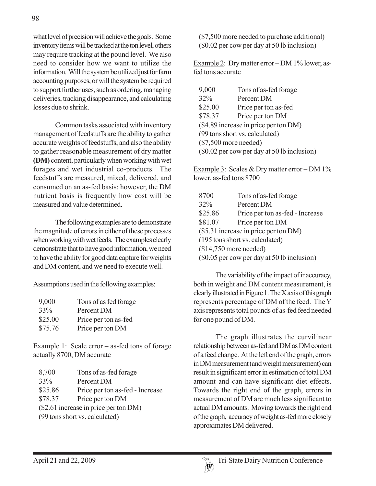what level of precision will achieve the goals. Some inventory items will be tracked at the ton level, others may require tracking at the pound level. We also need to consider how we want to utilize the information. Will the system be utilized just for farm accounting purposes, or will the system be required to support further uses, such as ordering, managing deliveries, tracking disappearance, and calculating losses due to shrink.

Common tasks associated with inventory management of feedstuffs are the ability to gather accurate weights of feedstuffs, and also the ability to gather reasonable measurement of dry matter **(DM)** content, particularly when working with wet forages and wet industrial co-products. The feedstuffs are measured, mixed, delivered, and consumed on an as-fed basis; however, the DM nutrient basis is frequently how cost will be measured and value determined.

The following examples are to demonstrate the magnitude of errors in either of these processes when working with wet feeds. The examples clearly demonstrate that to have good information, we need to have the ability for good data capture for weights and DM content, and we need to execute well.

Assumptions used in the following examples:

| 9,000   | Tons of as fed forage |
|---------|-----------------------|
| 33%     | Percent DM            |
| \$25.00 | Price per ton as-fed  |
| \$75.76 | Price per ton DM      |

Example 1: Scale error – as-fed tons of forage actually 8700, DM accurate

| 8,700                                 | Tons of as-fed forage           |  |
|---------------------------------------|---------------------------------|--|
| 33%                                   | Percent DM                      |  |
| \$25.86                               | Price per ton as-fed - Increase |  |
| \$78.37                               | Price per ton DM                |  |
| (\$2.61 increase in price per ton DM) |                                 |  |
| (99 tons short vs. calculated)        |                                 |  |

(\$7,500 more needed to purchase additional) (\$0.02 per cow per day at 50 lb inclusion)

Example 2: Dry matter error – DM 1% lower, asfed tons accurate

| 9,000                                       | Tons of as-fed forage |  |
|---------------------------------------------|-----------------------|--|
| 32%                                         | Percent DM            |  |
| \$25.00                                     | Price per ton as-fed  |  |
| \$78.37                                     | Price per ton DM      |  |
| (\$4.89 increase in price per ton DM)       |                       |  |
| (99 tons short vs. calculated)              |                       |  |
| $(\$7,500$ more needed)                     |                       |  |
| (\$0.02 per cow per day at 50 lb inclusion) |                       |  |

Example 3: Scales & Dry matter error – DM 1% lower, as-fed tons 8700

| 8700                                        | Tons of as-fed forage           |  |
|---------------------------------------------|---------------------------------|--|
| 32%                                         | Percent DM                      |  |
| \$25.86                                     | Price per ton as-fed - Increase |  |
| \$81.07                                     | Price per ton DM                |  |
| (\$5.31 increase in price per ton DM)       |                                 |  |
| (195 tons short vs. calculated)             |                                 |  |
| $($14,750$ more needed)                     |                                 |  |
| (\$0.05 per cow per day at 50 lb inclusion) |                                 |  |
|                                             |                                 |  |

The variability of the impact of inaccuracy, both in weight and DM content measurement, is clearly illustrated in Figure 1. The X axis of this graph represents percentage of DM of the feed. The Y axis represents total pounds of as-fed feed needed for one pound of DM.

The graph illustrates the curvilinear relationship between as-fed and DM as DM content of a feed change. At the left end of the graph, errors in DM measurement (and weight measurement) can result in significant error in estimation of total DM amount and can have significant diet effects. Towards the right end of the graph, errors in measurement of DM are much less significant to actual DM amounts. Moving towards the right end of the graph, accuracy of weight as-fed more closely approximates DM delivered.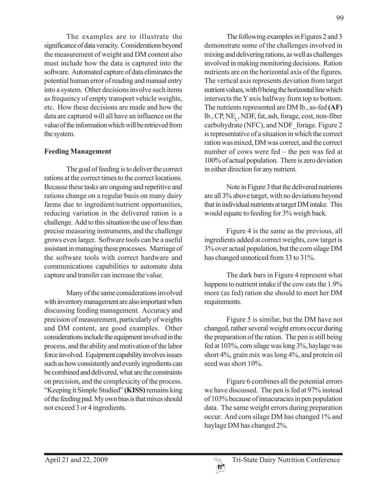The examples are to illustrate the significance of data veracity. Considerations beyond the measurement of weight and DM content also must include how the data is captured into the software. Automated capture of data eliminates the potential human error of reading and manual entry into a system. Other decisions involve such items as frequency of empty transport vehicle weights, etc. How these decisions are made and how the data are captured will all have an influence on the value of the information which will be retrieved from the system.

## **Feeding Management**

The goal of feeding is to deliver the correct rations at the correct times to the correct locations. Because these tasks are ongoing and repetitive and rations change on a regular basis on many dairy farms due to ingredient/nutrient opportunities, reducing variation in the delivered ration is a challenge. Add to this situation the use of less than precise measuring instruments, and the challenge grows even larger. Software tools can be a useful assistant in managing these processes. Marriage of the software tools with correct hardware and communications capabilities to automate data capture and transfer can increase the value.

Many of the same considerations involved with inventory management are also important when discussing feeding management. Accuracy and precision of measurement, particularly of weights and DM content, are good examples. Other considerations include the equipment involved in the process, and the ability and motivation of the labor force involved. Equipment capability involves issues such as how consistently and evenly ingredients can be combined and delivered, what are the constraints on precision, and the complexicity of the process. "Keeping it Simple Studied" **(KISS)** remains king of the feeding pad. My own bias is that mixes should not exceed 3 or 4 ingredients.

The following examples in Figures 2 and 3 demonstrate some of the challenges involved in mixing and delivering rations, as well as challenges involved in making monitoring decisions. Ration nutrients are on the horizontal axis of the figures. The vertical axis represents deviation from target nutrient values, with 0 being the horizontal line which intersects the Y axis halfway from top to bottom. The nutrients represented are DM lb., as-fed **(AF)** lb., CP, NE, NDF, fat, ash, forage, cost, non-fiber carbohydrate (NFC), and NDF\_forage. Figure 2

is representative of a situation in which the correct ration was mixed, DM was correct, and the correct number of cows were fed – the pen was fed at 100% of actual population. There is zero deviation in either direction for any nutrient.

Note in Figure 3 that the delivered nutrients are all 3% above target, with no deviations beyond that in individual nutrients at target DM intake. This would equate to feeding for 3% weigh back.

Figure 4 is the same as the previous, all ingredients added at correct weights, cow target is 3% over actual population, but the corn silage DM has changed unnoticed from 33 to 31%.

The dark bars in Figure 4 represent what happens to nutrient intake if the cow eats the 1.9% more (as fed) ration she should to meet her DM requirements.

Figure 5 is similar, but the DM have not changed, rather several weight errors occur during the preparation of the ration. The pen is still being fed at 103%, corn silage was long 3%, haylage was short 4%, grain mix was long 4%, and protein oil seed was short 10%.

Figure 6 combines all the potential errors we have discussed. The pen is fed at 97% instead of 103% because of innacuracies in pen population data. The same weight errors during preparation occur. And corn silage DM has changed 1% and haylage DM has changed 2%.

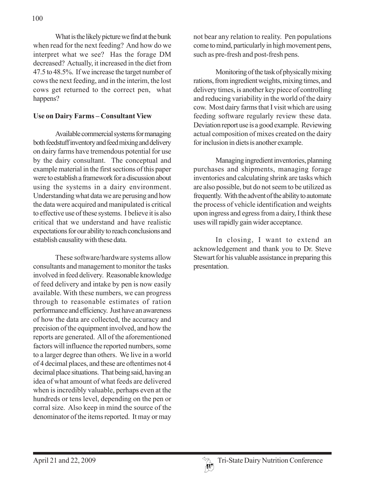What is the likely picture we find at the bunk when read for the next feeding? And how do we interpret what we see? Has the forage DM decreased? Actually, it increased in the diet from 47.5 to 48.5%. If we increase the target number of cows the next feeding, and in the interim, the lost cows get returned to the correct pen, what happens?

#### **Use on Dairy Farms – Consultant View**

Available commercial systems for managing both feedstuff inventory and feed mixing and delivery on dairy farms have tremendous potential for use by the dairy consultant. The conceptual and example material in the first sections of this paper were to establish a framework for a discussion about using the systems in a dairy environment. Understanding what data we are perusing and how the data were acquired and manipulated is critical to effective use of these systems. I believe it is also critical that we understand and have realistic expectations for our ability to reach conclusions and establish causality with these data.

These software/hardware systems allow consultants and management to monitor the tasks involved in feed delivery. Reasonable knowledge of feed delivery and intake by pen is now easily available. With these numbers, we can progress through to reasonable estimates of ration performance and efficiency. Just have an awareness of how the data are collected, the accuracy and precision of the equipment involved, and how the reports are generated. All of the aforementioned factors will influence the reported numbers, some to a larger degree than others. We live in a world of 4 decimal places, and these are oftentimes not 4 decimal place situations. That being said, having an idea of what amount of what feeds are delivered when is incredibly valuable, perhaps even at the hundreds or tens level, depending on the pen or corral size. Also keep in mind the source of the denominator of the items reported. It may or may

not bear any relation to reality. Pen populations come to mind, particularly in high movement pens, such as pre-fresh and post-fresh pens.

Monitoring of the task of physically mixing rations, from ingredient weights, mixing times, and delivery times, is another key piece of controlling and reducing variability in the world of the dairy cow. Most dairy farms that I visit which are using feeding software regularly review these data. Deviation report use is a good example. Reviewing actual composition of mixes created on the dairy for inclusion in diets is another example.

Managing ingredient inventories, planning purchases and shipments, managing forage inventories and calculating shrink are tasks which are also possible, but do not seem to be utilized as frequently. With the advent of the ability to automate the process of vehicle identification and weights upon ingress and egress from a dairy, I think these uses will rapidly gain wider acceptance.

In closing, I want to extend an acknowledgement and thank you to Dr. Steve Stewart for his valuable assistance in preparing this presentation.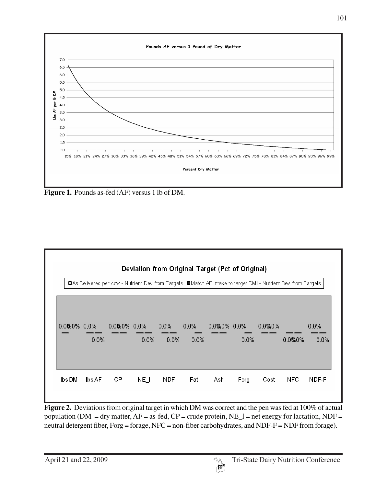

**Figure 1.** Pounds as-fed (AF) versus 1 lb of DM.



**Figure 2.** Deviations from original target in which DM was correct and the pen was fed at 100% of actual population ( $DM = dry$  matter,  $AF =$  as-fed,  $CP =$  crude protein,  $NE\_l =$  net energy for lactation,  $NDF =$ neutral detergent fiber, Forg = forage, NFC = non-fiber carbohydrates, and NDF-F = NDF from forage).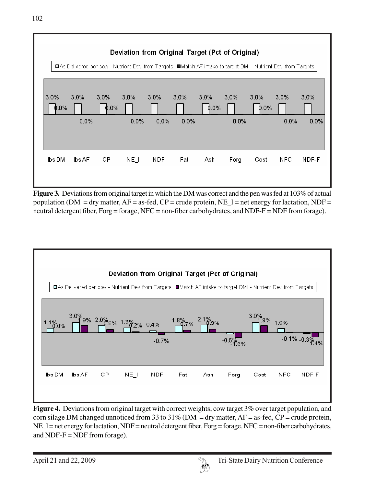

**Figure 3.** Deviations from original target in which the DM was correct and the pen was fed at 103% of actual population (DM = dry matter,  $AF =$  as-fed,  $CP =$  crude protein,  $NE_1 =$  net energy for lactation, NDF = neutral detergent fiber, Forg = forage, NFC = non-fiber carbohydrates, and NDF-F = NDF from forage).



**Figure 4.** Deviations from original target with correct weights, cow target 3% over target population, and corn silage DM changed unnoticed from 33 to  $31\%$  (DM = dry matter, AF = as-fed, CP = crude protein, NE\_l = net energy for lactation, NDF = neutral detergent fiber, Forg = forage, NFC = non-fiber carbohydrates, and NDF- $F = NDF$  from forage).